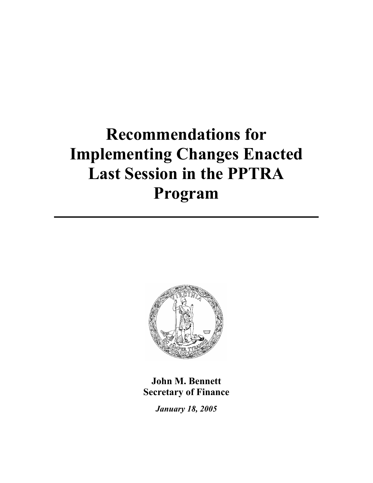# **Recommendations for Implementing Changes Enacted Last Session in the PPTRA Program**



**John M. Bennett Secretary of Finance** 

*January 18, 2005*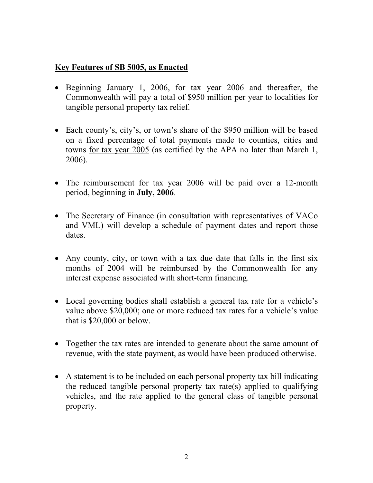# **Key Features of SB 5005, as Enacted**

- Beginning January 1, 2006, for tax year 2006 and thereafter, the Commonwealth will pay a total of \$950 million per year to localities for tangible personal property tax relief.
- Each county's, city's, or town's share of the \$950 million will be based on a fixed percentage of total payments made to counties, cities and towns for tax year 2005 (as certified by the APA no later than March 1, 2006).
- The reimbursement for tax year 2006 will be paid over a 12-month period, beginning in **July, 2006**.
- The Secretary of Finance (in consultation with representatives of VACo and VML) will develop a schedule of payment dates and report those dates.
- Any county, city, or town with a tax due date that falls in the first six months of 2004 will be reimbursed by the Commonwealth for any interest expense associated with short-term financing.
- Local governing bodies shall establish a general tax rate for a vehicle's value above \$20,000; one or more reduced tax rates for a vehicle's value that is \$20,000 or below.
- Together the tax rates are intended to generate about the same amount of revenue, with the state payment, as would have been produced otherwise.
- A statement is to be included on each personal property tax bill indicating the reduced tangible personal property tax rate(s) applied to qualifying vehicles, and the rate applied to the general class of tangible personal property.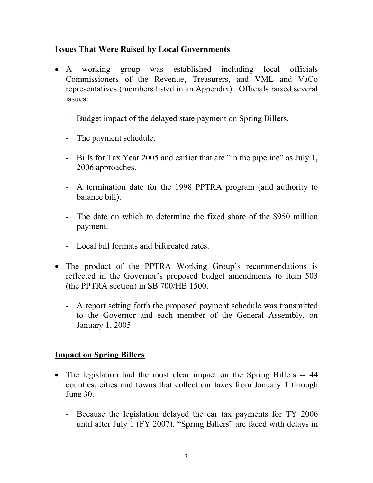# **Issues That Were Raised by Local Governments**

- A working group was established including local officials Commissioners of the Revenue, Treasurers, and VML and VaCo representatives (members listed in an Appendix). Officials raised several issues:
	- Budget impact of the delayed state payment on Spring Billers.
	- The payment schedule.
	- Bills for Tax Year 2005 and earlier that are "in the pipeline" as July 1, 2006 approaches.
	- A termination date for the 1998 PPTRA program (and authority to balance bill).
	- The date on which to determine the fixed share of the \$950 million payment.
	- Local bill formats and bifurcated rates.
- The product of the PPTRA Working Group's recommendations is reflected in the Governor's proposed budget amendments to Item 503 (the PPTRA section) in SB 700/HB 1500.
	- A report setting forth the proposed payment schedule was transmitted to the Governor and each member of the General Assembly, on January 1, 2005.

# **Impact on Spring Billers**

- The legislation had the most clear impact on the Spring Billers -- 44 counties, cities and towns that collect car taxes from January 1 through June 30.
	- Because the legislation delayed the car tax payments for TY 2006 until after July 1 (FY 2007), "Spring Billers" are faced with delays in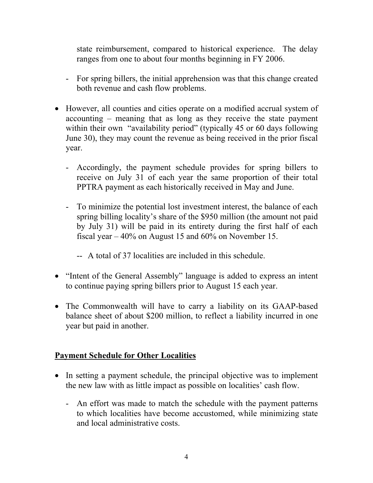state reimbursement, compared to historical experience. The delay ranges from one to about four months beginning in FY 2006.

- For spring billers, the initial apprehension was that this change created both revenue and cash flow problems.
- However, all counties and cities operate on a modified accrual system of accounting – meaning that as long as they receive the state payment within their own "availability period" (typically 45 or 60 days following June 30), they may count the revenue as being received in the prior fiscal year.
	- Accordingly, the payment schedule provides for spring billers to receive on July 31 of each year the same proportion of their total PPTRA payment as each historically received in May and June.
	- To minimize the potential lost investment interest, the balance of each spring billing locality's share of the \$950 million (the amount not paid by July 31) will be paid in its entirety during the first half of each fiscal year – 40% on August 15 and 60% on November 15.
		- -- A total of 37 localities are included in this schedule.
- "Intent of the General Assembly" language is added to express an intent to continue paying spring billers prior to August 15 each year.
- The Commonwealth will have to carry a liability on its GAAP-based balance sheet of about \$200 million, to reflect a liability incurred in one year but paid in another.

# **Payment Schedule for Other Localities**

- In setting a payment schedule, the principal objective was to implement the new law with as little impact as possible on localities' cash flow.
	- An effort was made to match the schedule with the payment patterns to which localities have become accustomed, while minimizing state and local administrative costs.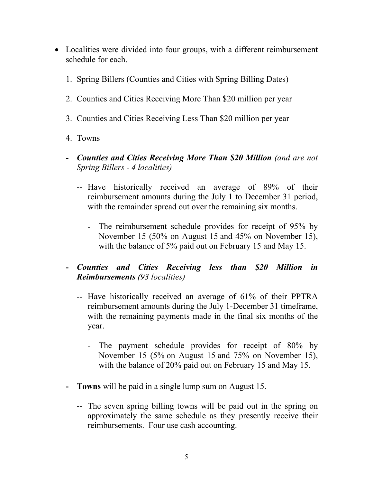- Localities were divided into four groups, with a different reimbursement schedule for each.
	- 1. Spring Billers (Counties and Cities with Spring Billing Dates)
	- 2. Counties and Cities Receiving More Than \$20 million per year
	- 3. Counties and Cities Receiving Less Than \$20 million per year
	- 4. Towns
	- **-** *Counties and Cities Receiving More Than \$20 Million (and are not Spring Billers - 4 localities)* 
		- -- Have historically received an average of 89% of their reimbursement amounts during the July 1 to December 31 period, with the remainder spread out over the remaining six months.
			- The reimbursement schedule provides for receipt of 95% by November 15 (50% on August 15 and 45% on November 15), with the balance of 5% paid out on February 15 and May 15.
	- **-** *Counties and Cities Receiving less than \$20 Million in Reimbursements (93 localities)*
		- -- Have historically received an average of 61% of their PPTRA reimbursement amounts during the July 1-December 31 timeframe, with the remaining payments made in the final six months of the year.
			- The payment schedule provides for receipt of 80% by November 15 (5% on August 15 and 75% on November 15), with the balance of 20% paid out on February 15 and May 15.
	- **- Towns** will be paid in a single lump sum on August 15.
		- -- The seven spring billing towns will be paid out in the spring on approximately the same schedule as they presently receive their reimbursements. Four use cash accounting.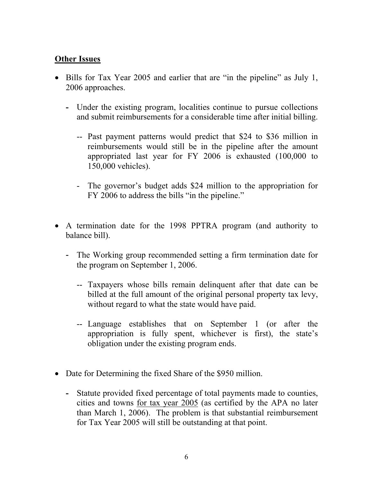# **Other Issues**

- Bills for Tax Year 2005 and earlier that are "in the pipeline" as July 1, 2006 approaches.
	- **-** Under the existing program, localities continue to pursue collections and submit reimbursements for a considerable time after initial billing.
		- -- Past payment patterns would predict that \$24 to \$36 million in reimbursements would still be in the pipeline after the amount appropriated last year for FY 2006 is exhausted (100,000 to 150,000 vehicles).
		- The governor's budget adds \$24 million to the appropriation for FY 2006 to address the bills "in the pipeline."
- A termination date for the 1998 PPTRA program (and authority to balance bill).
	- The Working group recommended setting a firm termination date for the program on September 1, 2006.
		- -- Taxpayers whose bills remain delinquent after that date can be billed at the full amount of the original personal property tax levy, without regard to what the state would have paid.
		- -- Language establishes that on September 1 (or after the appropriation is fully spent, whichever is first), the state's obligation under the existing program ends.
- Date for Determining the fixed Share of the \$950 million.
	- **-** Statute provided fixed percentage of total payments made to counties, cities and towns for tax year 2005 (as certified by the APA no later than March 1, 2006). The problem is that substantial reimbursement for Tax Year 2005 will still be outstanding at that point.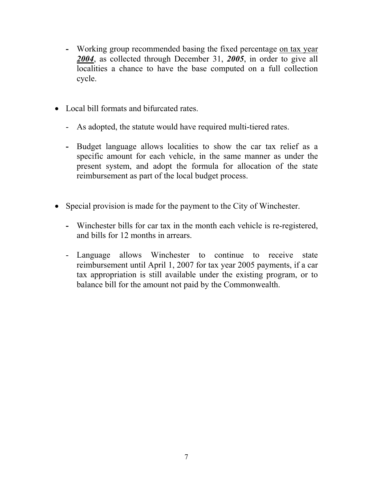- **-** Working group recommended basing the fixed percentage on tax year *2004*, as collected through December 31, *2005*, in order to give all localities a chance to have the base computed on a full collection cycle.
- Local bill formats and bifurcated rates
	- As adopted, the statute would have required multi-tiered rates.
	- **-** Budget language allows localities to show the car tax relief as a specific amount for each vehicle, in the same manner as under the present system, and adopt the formula for allocation of the state reimbursement as part of the local budget process.
- Special provision is made for the payment to the City of Winchester.
	- **-** Winchester bills for car tax in the month each vehicle is re-registered, and bills for 12 months in arrears.
	- Language allows Winchester to continue to receive state reimbursement until April 1, 2007 for tax year 2005 payments, if a car tax appropriation is still available under the existing program, or to balance bill for the amount not paid by the Commonwealth.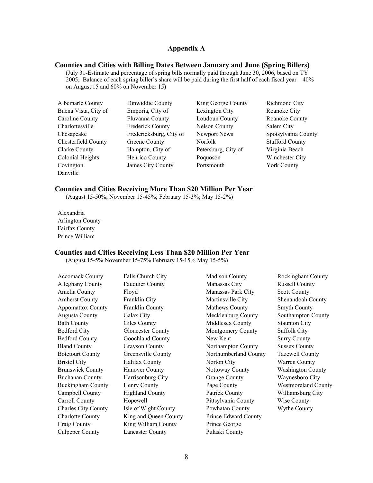#### **Appendix A**

#### **Counties and Cities with Billing Dates Between January and June (Spring Billers)**

(July 31**-**Estimate and percentage of spring bills normally paid through June 30, 2006, based on TY 2005; Balance of each spring biller's share will be paid during the first half of each fiscal year – 40% on August 15 and 60% on November 15)

- Albemarle County Dinwiddie County King George County Richmond City Buena Vista, City of Emporia, City of Lexington City Roanoke City Caroline County Fluvanna County Loudoun County Roanoke County Charlottesville Frederick County Nelson County Salem City Chesapeake Fredericksburg, City of Newport News Spotsylvania County Chesterfield County Greene County Norfolk Stafford County Clarke County Hampton, City of Petersburg, City of Virginia Beach Colonial Heights Henrico County Poquoson Winchester City Covington James City County Portsmouth York County Danville
- 
- 
- 

#### **Counties and Cities Receiving More Than \$20 Million Per Year**

(August 15-50%; November 15-45%; February 15-3%; May 15-2%)

Alexandria Arlington County Fairfax County Prince William

#### **Counties and Cities Receiving Less Than \$20 Million Per Year**

Culpeper County Lancaster County Pulaski County

(August 15-5% November 15-75% February 15-15% May 15-5%)

| <b>Accomack County</b>     | Falls Church City        | <b>Madison County</b> | Rockingham County          |
|----------------------------|--------------------------|-----------------------|----------------------------|
| Alleghany County           | <b>Fauquier County</b>   | Manassas City         | <b>Russell County</b>      |
| Amelia County              | Floyd                    | Manassas Park City    | <b>Scott County</b>        |
| <b>Amherst County</b>      | Franklin City            | Martinsville City     | Shenandoah County          |
| <b>Appomattox County</b>   | Franklin County          | Mathews County        | <b>Smyth County</b>        |
| Augusta County             | Galax City               | Mecklenburg County    | Southampton County         |
| <b>Bath County</b>         | Giles County             | Middlesex County      | <b>Staunton City</b>       |
| <b>Bedford City</b>        | <b>Gloucester County</b> | Montgomery County     | <b>Suffolk City</b>        |
| <b>Bedford County</b>      | Goochland County         | New Kent              | <b>Surry County</b>        |
| <b>Bland County</b>        | <b>Grayson County</b>    | Northampton County    | <b>Sussex County</b>       |
| <b>Botetourt County</b>    | Greensville County       | Northumberland County | <b>Tazewell County</b>     |
| <b>Bristol City</b>        | Halifax County           | Norton City           | Warren County              |
| <b>Brunswick County</b>    | <b>Hanover County</b>    | Nottoway County       | <b>Washington County</b>   |
| <b>Buchanan County</b>     | Harrisonburg City        | <b>Orange County</b>  | Waynesboro City            |
| <b>Buckingham County</b>   | Henry County             | Page County           | <b>Westmoreland County</b> |
| Campbell County            | <b>Highland County</b>   | Patrick County        | Williamsburg City          |
| Carroll County             | Hopewell                 | Pittsylvania County   | Wise County                |
| <b>Charles City County</b> | Isle of Wight County     | Powhatan County       | Wythe County               |
| <b>Charlotte County</b>    | King and Queen County    | Prince Edward County  |                            |
| Craig County               | King William County      | Prince George         |                            |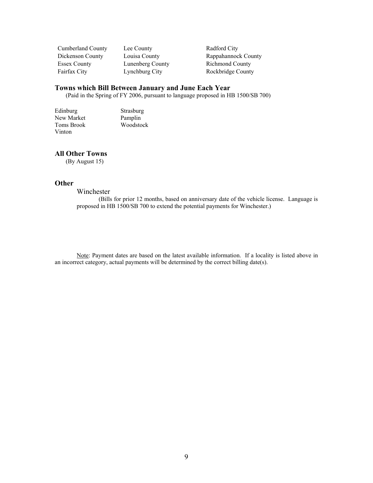Cumberland County Lee County Radford City Essex County Lunenberg County Richmond County Fairfax City Lynchburg City Rockbridge County

Dickenson County Louisa County Rappahannock County

#### **Towns which Bill Between January and June Each Year**

(Paid in the Spring of FY 2006, pursuant to language proposed in HB 1500/SB 700)

Edinburg Strasburg<br>
New Market Pamplin New Market<br>Toms Brook Woodstock Vinton

#### **All Other Towns**

(By August 15)

#### **Other**

#### Winchester

(Bills for prior 12 months, based on anniversary date of the vehicle license. Language is proposed in HB 1500/SB 700 to extend the potential payments for Winchester.)

Note: Payment dates are based on the latest available information. If a locality is listed above in an incorrect category, actual payments will be determined by the correct billing date(s).